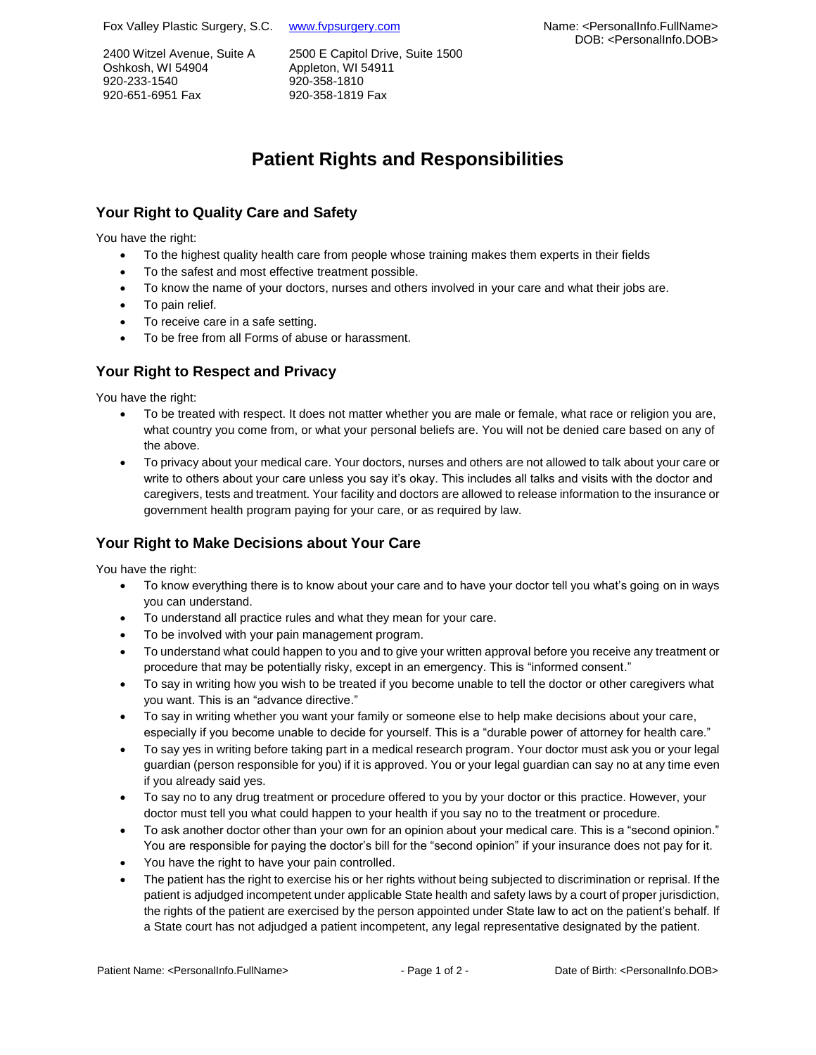Fox Valley Plastic Surgery, S.C. www.fypsurgery.com

2400 Witzel Avenue, Suite A Oshkosh, WI 54904 920-233-1540 920-651-6951 Fax

2500 E Capitol Drive, Suite 1500 Appleton, WI 54911 920-358-1810 920-358-1819 Fax

# Name: <PersonalInfo.FullName> DOB: <PersonalInfo.DOB>

# **Patient Rights and Responsibilities**

# **Your Right to Quality Care and Safety**

You have the right:

- To the highest quality health care from people whose training makes them experts in their fields
- To the safest and most effective treatment possible.
- To know the name of your doctors, nurses and others involved in your care and what their jobs are.
- To pain relief.
- To receive care in a safe setting.
- To be free from all Forms of abuse or harassment.

## **Your Right to Respect and Privacy**

You have the right:

- To be treated with respect. It does not matter whether you are male or female, what race or religion you are, what country you come from, or what your personal beliefs are. You will not be denied care based on any of the above.
- To privacy about your medical care. Your doctors, nurses and others are not allowed to talk about your care or write to others about your care unless you say it's okay. This includes all talks and visits with the doctor and caregivers, tests and treatment. Your facility and doctors are allowed to release information to the insurance or government health program paying for your care, or as required by law.

## **Your Right to Make Decisions about Your Care**

You have the right:

- To know everything there is to know about your care and to have your doctor tell you what's going on in ways you can understand.
- To understand all practice rules and what they mean for your care.
- To be involved with your pain management program.
- To understand what could happen to you and to give your written approval before you receive any treatment or procedure that may be potentially risky, except in an emergency. This is "informed consent."
- To say in writing how you wish to be treated if you become unable to tell the doctor or other caregivers what you want. This is an "advance directive."
- To say in writing whether you want your family or someone else to help make decisions about your care, especially if you become unable to decide for yourself. This is a "durable power of attorney for health care."
- To say yes in writing before taking part in a medical research program. Your doctor must ask you or your legal guardian (person responsible for you) if it is approved. You or your legal guardian can say no at any time even if you already said yes.
- To say no to any drug treatment or procedure offered to you by your doctor or this practice. However, your doctor must tell you what could happen to your health if you say no to the treatment or procedure.
- To ask another doctor other than your own for an opinion about your medical care. This is a "second opinion." You are responsible for paying the doctor's bill for the "second opinion" if your insurance does not pay for it.
- You have the right to have your pain controlled.
- The patient has the right to exercise his or her rights without being subjected to discrimination or reprisal. If the patient is adjudged incompetent under applicable State health and safety laws by a court of proper jurisdiction, the rights of the patient are exercised by the person appointed under State law to act on the patient's behalf. If a State court has not adjudged a patient incompetent, any legal representative designated by the patient.